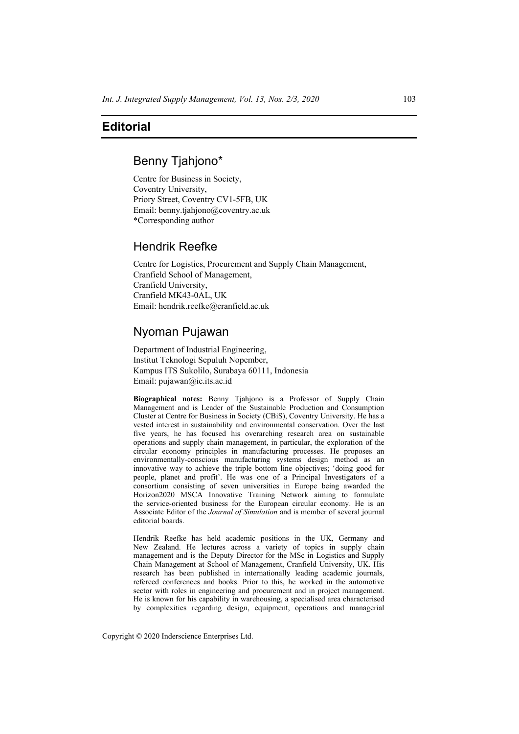## **Editorial**

## Benny Tjahjono\*

Centre for Business in Society, Coventry University, Priory Street, Coventry CV1-5FB, UK Email: benny.tjahjono@coventry.ac.uk \*Corresponding author

## Hendrik Reefke

Centre for Logistics, Procurement and Supply Chain Management, Cranfield School of Management, Cranfield University, Cranfield MK43-0AL, UK Email: hendrik.reefke@cranfield.ac.uk

# Nyoman Pujawan

Department of Industrial Engineering, Institut Teknologi Sepuluh Nopember, Kampus ITS Sukolilo, Surabaya 60111, Indonesia Email: pujawan@ie.its.ac.id

**Biographical notes:** Benny Tjahjono is a Professor of Supply Chain Management and is Leader of the Sustainable Production and Consumption Cluster at Centre for Business in Society (CBiS), Coventry University. He has a vested interest in sustainability and environmental conservation. Over the last five years, he has focused his overarching research area on sustainable operations and supply chain management, in particular, the exploration of the circular economy principles in manufacturing processes. He proposes an environmentally-conscious manufacturing systems design method as an innovative way to achieve the triple bottom line objectives; 'doing good for people, planet and profit'. He was one of a Principal Investigators of a consortium consisting of seven universities in Europe being awarded the Horizon2020 MSCA Innovative Training Network aiming to formulate the service-oriented business for the European circular economy. He is an Associate Editor of the *Journal of Simulation* and is member of several journal editorial boards.

Hendrik Reefke has held academic positions in the UK, Germany and New Zealand. He lectures across a variety of topics in supply chain management and is the Deputy Director for the MSc in Logistics and Supply Chain Management at School of Management, Cranfield University, UK. His research has been published in internationally leading academic journals, refereed conferences and books. Prior to this, he worked in the automotive sector with roles in engineering and procurement and in project management. He is known for his capability in warehousing, a specialised area characterised by complexities regarding design, equipment, operations and managerial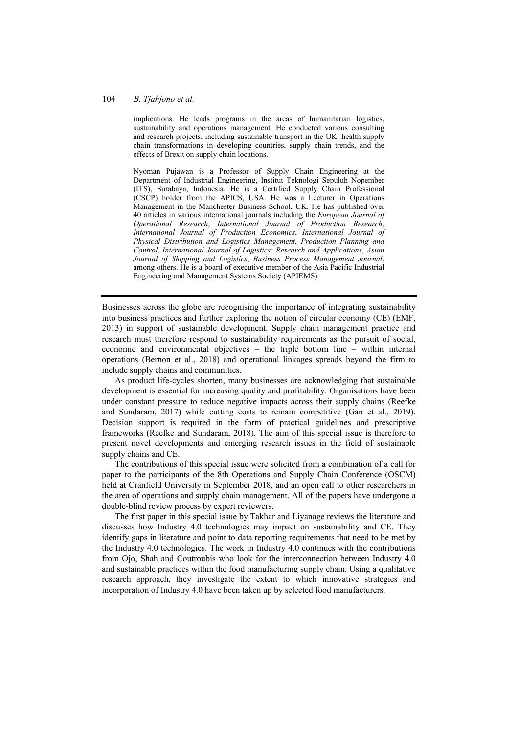### 104 *B. Tjahjono et al.*

implications. He leads programs in the areas of humanitarian logistics, sustainability and operations management. He conducted various consulting and research projects, including sustainable transport in the UK, health supply chain transformations in developing countries, supply chain trends, and the effects of Brexit on supply chain locations.

Nyoman Pujawan is a Professor of Supply Chain Engineering at the Department of Industrial Engineering, Institut Teknologi Sepuluh Nopember (ITS), Surabaya, Indonesia. He is a Certified Supply Chain Professional (CSCP) holder from the APICS, USA. He was a Lecturer in Operations Management in the Manchester Business School, UK. He has published over 40 articles in various international journals including the *European Journal of Operational Research*, *International Journal of Production Research*, *International Journal of Production Economics*, *International Journal of Physical Distribution and Logistics Management*, *Production Planning and Control*, *International Journal of Logistics: Research and Applications*, *Asian Journal of Shipping and Logistics*, *Business Process Management Journal*, among others. He is a board of executive member of the Asia Pacific Industrial Engineering and Management Systems Society (APIEMS).

Businesses across the globe are recognising the importance of integrating sustainability into business practices and further exploring the notion of circular economy (CE) (EMF, 2013) in support of sustainable development. Supply chain management practice and research must therefore respond to sustainability requirements as the pursuit of social, economic and environmental objectives – the triple bottom line – within internal operations (Bernon et al., 2018) and operational linkages spreads beyond the firm to include supply chains and communities.

As product life-cycles shorten, many businesses are acknowledging that sustainable development is essential for increasing quality and profitability. Organisations have been under constant pressure to reduce negative impacts across their supply chains (Reefke and Sundaram, 2017) while cutting costs to remain competitive (Gan et al., 2019). Decision support is required in the form of practical guidelines and prescriptive frameworks (Reefke and Sundaram, 2018). The aim of this special issue is therefore to present novel developments and emerging research issues in the field of sustainable supply chains and CE.

The contributions of this special issue were solicited from a combination of a call for paper to the participants of the 8th Operations and Supply Chain Conference (OSCM) held at Cranfield University in September 2018, and an open call to other researchers in the area of operations and supply chain management. All of the papers have undergone a double-blind review process by expert reviewers.

The first paper in this special issue by Takhar and Liyanage reviews the literature and discusses how Industry 4.0 technologies may impact on sustainability and CE. They identify gaps in literature and point to data reporting requirements that need to be met by the Industry 4.0 technologies. The work in Industry 4.0 continues with the contributions from Ojo, Shah and Coutroubis who look for the interconnection between Industry 4.0 and sustainable practices within the food manufacturing supply chain. Using a qualitative research approach, they investigate the extent to which innovative strategies and incorporation of Industry 4.0 have been taken up by selected food manufacturers.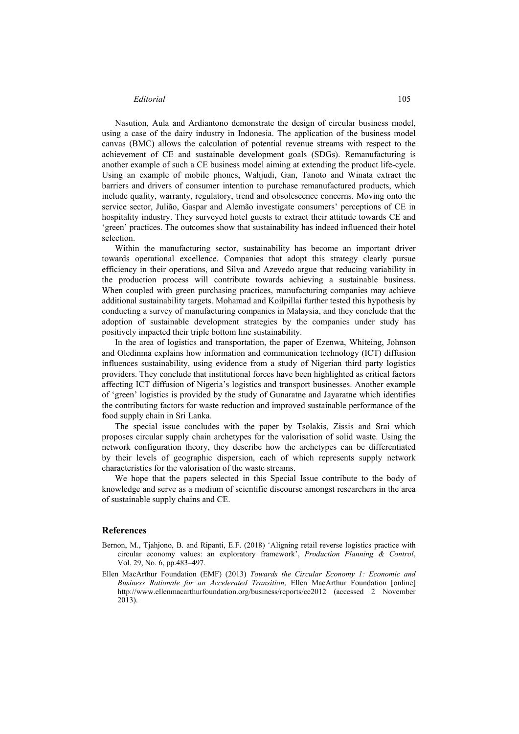### *Editorial* 105

Nasution, Aula and Ardiantono demonstrate the design of circular business model, using a case of the dairy industry in Indonesia. The application of the business model canvas (BMC) allows the calculation of potential revenue streams with respect to the achievement of CE and sustainable development goals (SDGs). Remanufacturing is another example of such a CE business model aiming at extending the product life-cycle. Using an example of mobile phones, Wahjudi, Gan, Tanoto and Winata extract the barriers and drivers of consumer intention to purchase remanufactured products, which include quality, warranty, regulatory, trend and obsolescence concerns. Moving onto the service sector, Julião, Gaspar and Alemão investigate consumers' perceptions of CE in hospitality industry. They surveyed hotel guests to extract their attitude towards CE and 'green' practices. The outcomes show that sustainability has indeed influenced their hotel selection.

Within the manufacturing sector, sustainability has become an important driver towards operational excellence. Companies that adopt this strategy clearly pursue efficiency in their operations, and Silva and Azevedo argue that reducing variability in the production process will contribute towards achieving a sustainable business. When coupled with green purchasing practices, manufacturing companies may achieve additional sustainability targets. Mohamad and Koilpillai further tested this hypothesis by conducting a survey of manufacturing companies in Malaysia, and they conclude that the adoption of sustainable development strategies by the companies under study has positively impacted their triple bottom line sustainability.

In the area of logistics and transportation, the paper of Ezenwa, Whiteing, Johnson and Oledinma explains how information and communication technology (ICT) diffusion influences sustainability, using evidence from a study of Nigerian third party logistics providers. They conclude that institutional forces have been highlighted as critical factors affecting ICT diffusion of Nigeria's logistics and transport businesses. Another example of 'green' logistics is provided by the study of Gunaratne and Jayaratne which identifies the contributing factors for waste reduction and improved sustainable performance of the food supply chain in Sri Lanka.

The special issue concludes with the paper by Tsolakis, Zissis and Srai which proposes circular supply chain archetypes for the valorisation of solid waste. Using the network configuration theory, they describe how the archetypes can be differentiated by their levels of geographic dispersion, each of which represents supply network characteristics for the valorisation of the waste streams.

We hope that the papers selected in this Special Issue contribute to the body of knowledge and serve as a medium of scientific discourse amongst researchers in the area of sustainable supply chains and CE.

### **References**

- Bernon, M., Tjahjono, B. and Ripanti, E.F. (2018) 'Aligning retail reverse logistics practice with circular economy values: an exploratory framework', *Production Planning & Control*, Vol. 29, No. 6, pp.483–497.
- Ellen MacArthur Foundation (EMF) (2013) *Towards the Circular Economy 1: Economic and Business Rationale for an Accelerated Transition*, Ellen MacArthur Foundation [online] http://www.ellenmacarthurfoundation.org/business/reports/ce2012 (accessed 2 November 2013).